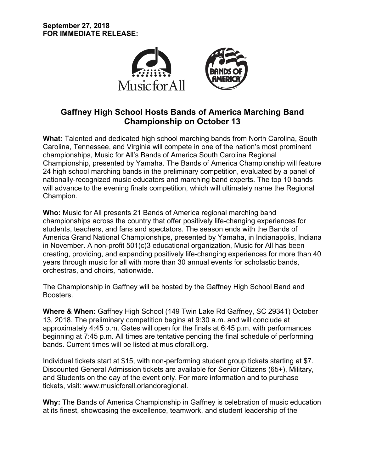

# **Gaffney High School Hosts Bands of America Marching Band Championship on October 13**

**What:** Talented and dedicated high school marching bands from North Carolina, South Carolina, Tennessee, and Virginia will compete in one of the nation's most prominent championships, Music for All's Bands of America South Carolina Regional Championship, presented by Yamaha. The Bands of America Championship will feature 24 high school marching bands in the preliminary competition, evaluated by a panel of nationally-recognized music educators and marching band experts. The top 10 bands will advance to the evening finals competition, which will ultimately name the Regional Champion.

**Who:** Music for All presents 21 Bands of America regional marching band championships across the country that offer positively life-changing experiences for students, teachers, and fans and spectators. The season ends with the Bands of America Grand National Championships, presented by Yamaha, in Indianapolis, Indiana in November. A non-profit 501(c)3 educational organization, Music for All has been creating, providing, and expanding positively life-changing experiences for more than 40 years through music for all with more than 30 annual events for scholastic bands, orchestras, and choirs, nationwide.

The Championship in Gaffney will be hosted by the Gaffney High School Band and Boosters.

**Where & When:** Gaffney High School (149 Twin Lake Rd Gaffney, SC 29341) October 13, 2018. The preliminary competition begins at 9:30 a.m. and will conclude at approximately 4:45 p.m. Gates will open for the finals at 6:45 p.m. with performances beginning at 7:45 p.m. All times are tentative pending the final schedule of performing bands. Current times will be listed at musicforall.org.

Individual tickets start at \$15, with non-performing student group tickets starting at \$7. Discounted General Admission tickets are available for Senior Citizens (65+), Military, and Students on the day of the event only. For more information and to purchase tickets, visit: www.musicforall.orlandoregional.

**Why:** The Bands of America Championship in Gaffney is celebration of music education at its finest, showcasing the excellence, teamwork, and student leadership of the